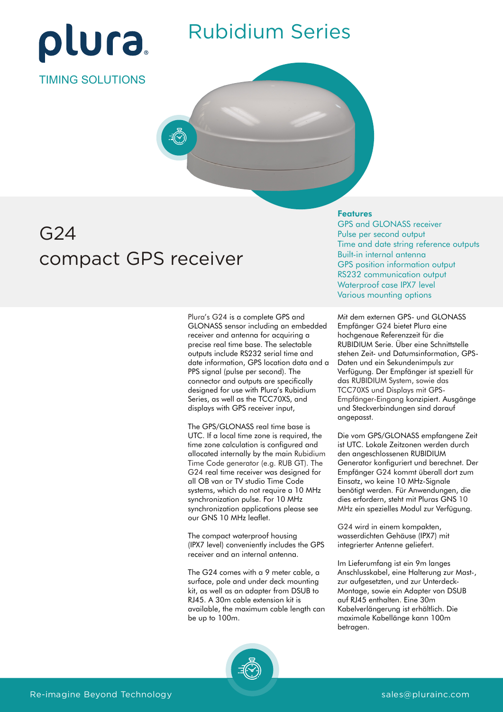

### Rubidium Series

TIMING SOLUTIONS

# G24 compact GPS receiver

Plura's G24 is a complete GPS and GLONASS sensor including an embedded receiver and antenna for acquiring a precise real time base. The selectable outputs include RS232 serial time and date information, GPS location data and a PPS signal (pulse per second). The connector and outputs are specifically designed for use with Plura's Rubidium Series, as well as the TCC70XS, and displays with GPS receiver input,

allocated internally by the main Rubidium Time Code generator (e.g. RUB GT). The G24 real time receiver was designed for The GPS/GLONASS real time base is UTC. If a local time zone is required, the time zone calculation is configured and all OB van or TV studio Time Code systems, which do not require a 10 MHz synchronization pulse. For 10 MHz synchronization applications please see our GNS 10 MHz leaflet.

The compact waterproof housing (IPX7 level) conveniently includes the GPS receiver and an internal antenna.

The G24 comes with a 9 meter cable, a surface, pole and under deck mounting kit, as well as an adapter from DSUB to RJ45. A 30m cable extension kit is available, the maximum cable length can be up to 100m.

#### Features

GPS and GLONASS receiver Pulse per second output Time and date string reference outputs Built-in internal antenna GPS position information output RS232 communication output Waterproof case IPX7 level Various mounting options

Mit dem externen GPS- und GLONASS Empfänger G24 bietet Plura eine hochgenaue Referenzzeit für die RUBIDIUM Serie. Über eine Schnittstelle stehen Zeit- und Datumsinformation, GPS-Daten und ein Sekundenimpuls zur Verfügung. Der Empfänger ist speziell für da s RUBIDIUM System, sowie das Empfänger-Eingang konzipiert. Ausgänge und Steckverbindungen sind darauf angepasst. TCC70XS und Displays mit GPS-

Die vom GPS/GLONASS empfangene Zeit ist UTC. Lokale Zeitzonen werden durch den angeschlossenen RUBIDIUM Generator konfiguriert und berechnet. Der Empfänger G24 kommt überall dort zum Einsatz, wo keine 10 MHz-Signale benötigt werden. Für Anwendungen, die dies erfordern, steht mit Pluras GNS 10 MHz ein spezielles Modul zur Verfügung.

G24 wird in einem kompakten, wasserdichten Gehäuse (IPX7) mit integrierter Antenne geliefert.

Im Lieferumfang ist ein 9m langes Anschlusskabel, eine Halterung zur Mast-, zur aufgesetzten, und zur Unterdeck-Montage, sowie ein Adapter von DSUB auf RJ45 enthalten. Eine 30m Kabelverlängerung ist erhältlich. Die maximale Kabellänge kann 100m betragen.